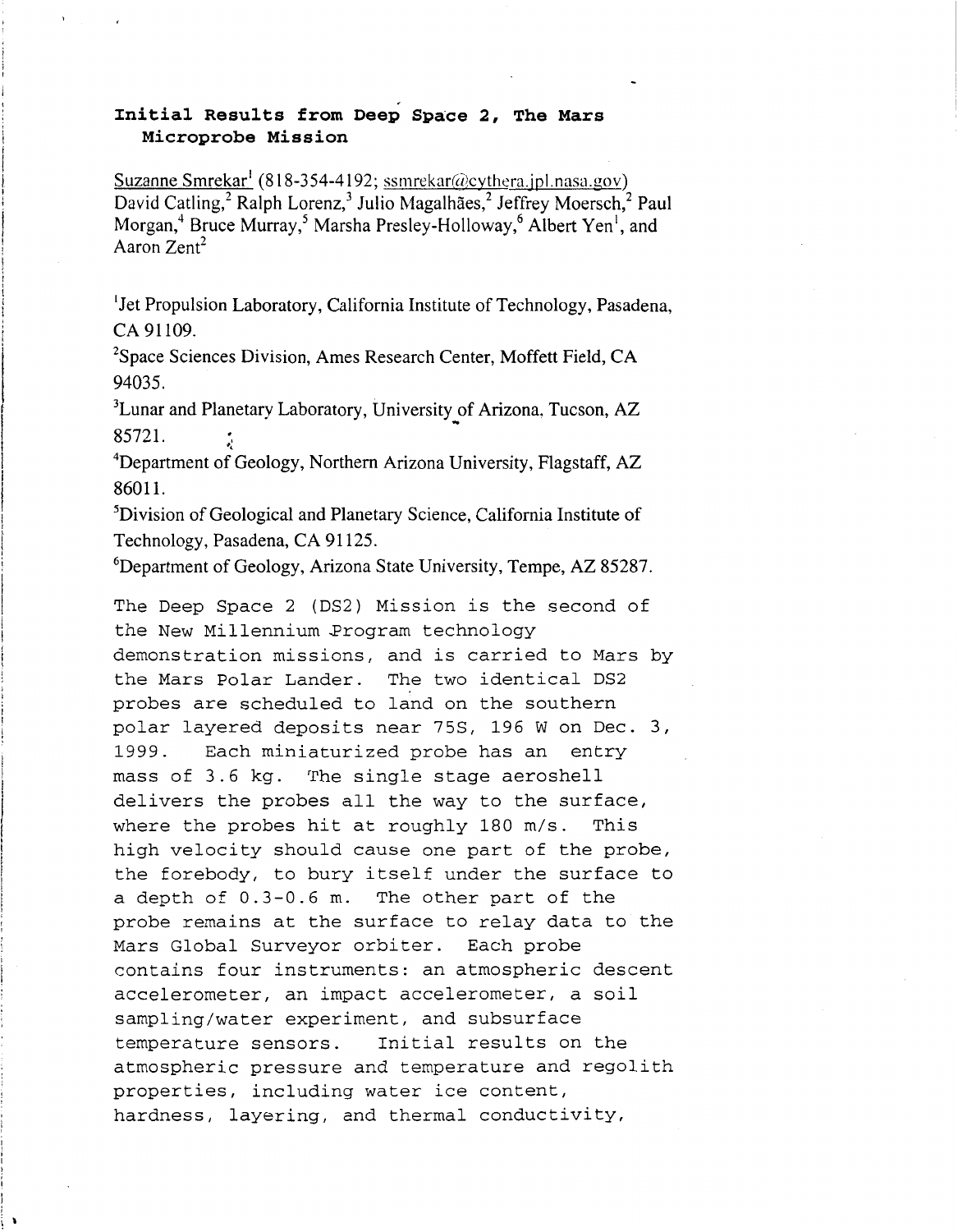## **Initial Results from Dee; Space 2, The Mars Microprobe Mission**

Suzanne Smrekar<sup>1</sup> (818-354-4192; ssmrekar@cythera.jpl.nasa.gov) David Catling,<sup>2</sup> Ralph Lorenz,<sup>3</sup> Julio Magalhães,<sup>2</sup> Jeffrey Moersch,<sup>2</sup> Paul Morgan,<sup>4</sup> Bruce Murray,<sup>5</sup> Marsha Presley-Holloway,<sup>6</sup> Albert Yen<sup>1</sup>, and Aaron Zent'

<sup>1</sup>Jet Propulsion Laboratory, California Institute of Technology, Pasadena, CA **91 109.** 

<sup>2</sup>Space Sciences Division, Ames Research Center, Moffett Field, CA **94035.** 

<sup>3</sup>Lunar and Planetary Laboratory, University of Arizona, Tucson, AZ **85721.** 

Department of Geology, Northern Arizona University, Flagstaff, AZ *3:*  **4 8601 1.** 

5Division of Geological and Planetary Science, California Institute of Technology, Pasadena, CA 91125.

6Department of Geology, Arizona State University, Tempe, AZ **85287.** 

The Deep Space 2 (DS2) Mission is the second of the New Millennium Program technology demonstration missions, and is carried to Mars by the Mars Polar Lander. The two identical DS2 probes are scheduled to land on the southern polar layered deposits near 75S, 196 W on Dec. 3, 1999. Each miniaturized probe has an entry mass of 3.6 kg. The single stage aeroshell delivers the probes all the way to the surface, where the probes hit at roughly 180 m/s. This high velocity should cause one part of the probe, the forebody, to bury itself under the surface to a depth of 0.3-0.6 m. The other part of the probe remains at the surface to relay data to the Mars Global Surveyor orbiter. Each probe contains four instruments: an atmospheric descent accelerometer, an impact accelerometer, a soil sampling/water experiment, and subsurface temperature sensors. Initial results on the atmospheric pressure and temperature and regolith properties, including water ice content, hardness, layering, and thermal conductivity,